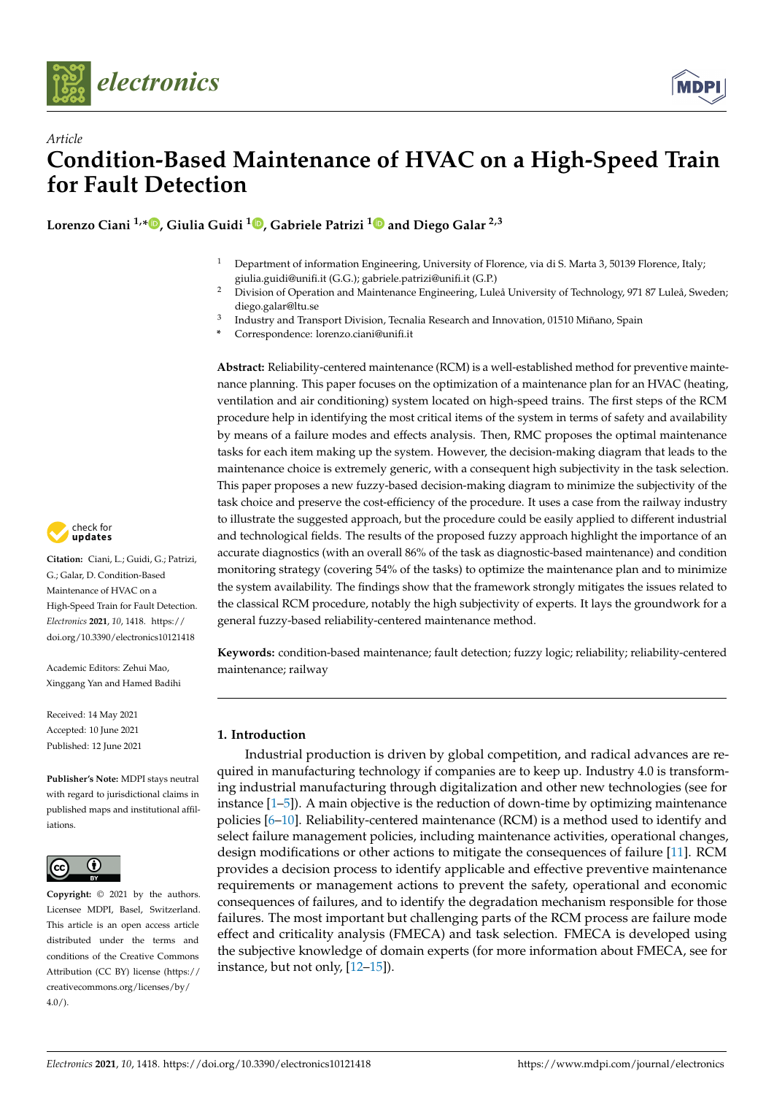



**Lorenzo Ciani 1,[\\*](https://orcid.org/0000-0001-7820-6656) , Giulia Guidi <sup>1</sup> [,](https://orcid.org/0000-0002-7622-3396) Gabriele Patrizi [1](https://orcid.org/0000-0001-6661-6754) and Diego Galar 2,3**

- <sup>1</sup> Department of information Engineering, University of Florence, via di S. Marta 3, 50139 Florence, Italy; giulia.guidi@unifi.it (G.G.); gabriele.patrizi@unifi.it (G.P.)
- <sup>2</sup> Division of Operation and Maintenance Engineering, Luleå University of Technology, 971 87 Luleå, Sweden; diego.galar@ltu.se
- 3 Industry and Transport Division, Tecnalia Research and Innovation, 01510 Miñano, Spain
- **\*** Correspondence: lorenzo.ciani@unifi.it

**Abstract:** Reliability-centered maintenance (RCM) is a well-established method for preventive maintenance planning. This paper focuses on the optimization of a maintenance plan for an HVAC (heating, ventilation and air conditioning) system located on high-speed trains. The first steps of the RCM procedure help in identifying the most critical items of the system in terms of safety and availability by means of a failure modes and effects analysis. Then, RMC proposes the optimal maintenance tasks for each item making up the system. However, the decision-making diagram that leads to the maintenance choice is extremely generic, with a consequent high subjectivity in the task selection. This paper proposes a new fuzzy-based decision-making diagram to minimize the subjectivity of the task choice and preserve the cost-efficiency of the procedure. It uses a case from the railway industry to illustrate the suggested approach, but the procedure could be easily applied to different industrial and technological fields. The results of the proposed fuzzy approach highlight the importance of an accurate diagnostics (with an overall 86% of the task as diagnostic-based maintenance) and condition monitoring strategy (covering 54% of the tasks) to optimize the maintenance plan and to minimize the system availability. The findings show that the framework strongly mitigates the issues related to the classical RCM procedure, notably the high subjectivity of experts. It lays the groundwork for a general fuzzy-based reliability-centered maintenance method.

**Keywords:** condition-based maintenance; fault detection; fuzzy logic; reliability; reliability-centered maintenance; railway

### **1. Introduction**

Industrial production is driven by global competition, and radical advances are required in manufacturing technology if companies are to keep up. Industry 4.0 is transforming industrial manufacturing through digitalization and other new technologies (see for instance  $[1–5]$  $[1–5]$ ). A main objective is the reduction of down-time by optimizing maintenance policies [\[6–](#page-11-2)[10\]](#page-12-0). Reliability-centered maintenance (RCM) is a method used to identify and select failure management policies, including maintenance activities, operational changes, design modifications or other actions to mitigate the consequences of failure [\[11\]](#page-12-1). RCM provides a decision process to identify applicable and effective preventive maintenance requirements or management actions to prevent the safety, operational and economic consequences of failures, and to identify the degradation mechanism responsible for those failures. The most important but challenging parts of the RCM process are failure mode effect and criticality analysis (FMECA) and task selection. FMECA is developed using the subjective knowledge of domain experts (for more information about FMECA, see for instance, but not only, [\[12](#page-12-2)[–15\]](#page-12-3)).



**Citation:** Ciani, L.; Guidi, G.; Patrizi, G.; Galar, D. Condition-Based Maintenance of HVAC on a High-Speed Train for Fault Detection. *Electronics* **2021**, *10*, 1418. [https://](https://doi.org/10.3390/electronics10121418) [doi.org/10.3390/electronics10121418](https://doi.org/10.3390/electronics10121418)

Academic Editors: Zehui Mao, Xinggang Yan and Hamed Badihi

Received: 14 May 2021 Accepted: 10 June 2021 Published: 12 June 2021

**Publisher's Note:** MDPI stays neutral with regard to jurisdictional claims in published maps and institutional affiliations.



**Copyright:** © 2021 by the authors. Licensee MDPI, Basel, Switzerland. This article is an open access article distributed under the terms and conditions of the Creative Commons Attribution (CC BY) license (https:/[/](https://creativecommons.org/licenses/by/4.0/) [creativecommons.org/licenses/by/](https://creativecommons.org/licenses/by/4.0/)  $4.0/$ ).

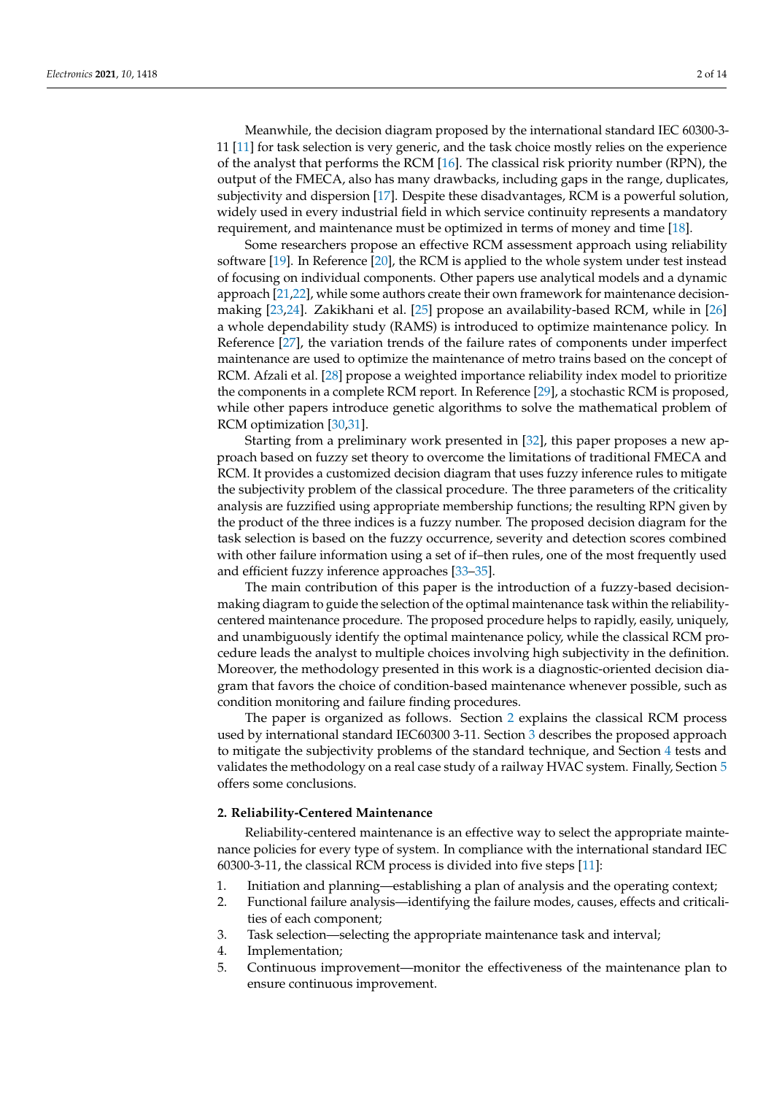Meanwhile, the decision diagram proposed by the international standard IEC 60300-3- 11 [\[11\]](#page-12-1) for task selection is very generic, and the task choice mostly relies on the experience of the analyst that performs the RCM [\[16\]](#page-12-4). The classical risk priority number (RPN), the output of the FMECA, also has many drawbacks, including gaps in the range, duplicates, subjectivity and dispersion [\[17\]](#page-12-5). Despite these disadvantages, RCM is a powerful solution, widely used in every industrial field in which service continuity represents a mandatory requirement, and maintenance must be optimized in terms of money and time [\[18\]](#page-12-6).

Some researchers propose an effective RCM assessment approach using reliability software [\[19\]](#page-12-7). In Reference [\[20\]](#page-12-8), the RCM is applied to the whole system under test instead of focusing on individual components. Other papers use analytical models and a dynamic approach [\[21](#page-12-9)[,22\]](#page-12-10), while some authors create their own framework for maintenance decisionmaking [\[23,](#page-12-11)[24\]](#page-12-12). Zakikhani et al. [\[25\]](#page-12-13) propose an availability-based RCM, while in [\[26\]](#page-12-14) a whole dependability study (RAMS) is introduced to optimize maintenance policy. In Reference [\[27\]](#page-12-15), the variation trends of the failure rates of components under imperfect maintenance are used to optimize the maintenance of metro trains based on the concept of RCM. Afzali et al. [\[28\]](#page-12-16) propose a weighted importance reliability index model to prioritize the components in a complete RCM report. In Reference [\[29\]](#page-12-17), a stochastic RCM is proposed, while other papers introduce genetic algorithms to solve the mathematical problem of RCM optimization [\[30](#page-12-18)[,31\]](#page-12-19).

Starting from a preliminary work presented in [\[32\]](#page-12-20), this paper proposes a new approach based on fuzzy set theory to overcome the limitations of traditional FMECA and RCM. It provides a customized decision diagram that uses fuzzy inference rules to mitigate the subjectivity problem of the classical procedure. The three parameters of the criticality analysis are fuzzified using appropriate membership functions; the resulting RPN given by the product of the three indices is a fuzzy number. The proposed decision diagram for the task selection is based on the fuzzy occurrence, severity and detection scores combined with other failure information using a set of if–then rules, one of the most frequently used and efficient fuzzy inference approaches [\[33](#page-12-21)[–35\]](#page-12-22).

The main contribution of this paper is the introduction of a fuzzy-based decisionmaking diagram to guide the selection of the optimal maintenance task within the reliabilitycentered maintenance procedure. The proposed procedure helps to rapidly, easily, uniquely, and unambiguously identify the optimal maintenance policy, while the classical RCM procedure leads the analyst to multiple choices involving high subjectivity in the definition. Moreover, the methodology presented in this work is a diagnostic-oriented decision diagram that favors the choice of condition-based maintenance whenever possible, such as condition monitoring and failure finding procedures.

The paper is organized as follows. Section [2](#page-1-0) explains the classical RCM process used by international standard IEC60300 3-11. Section [3](#page-3-0) describes the proposed approach to mitigate the subjectivity problems of the standard technique, and Section [4](#page-6-0) tests and validates the methodology on a real case study of a railway HVAC system. Finally, Section [5](#page-11-3) offers some conclusions.

#### <span id="page-1-0"></span>**2. Reliability-Centered Maintenance**

Reliability-centered maintenance is an effective way to select the appropriate maintenance policies for every type of system. In compliance with the international standard IEC 60300-3-11, the classical RCM process is divided into five steps [\[11\]](#page-12-1):

- 1. Initiation and planning—establishing a plan of analysis and the operating context;
- 2. Functional failure analysis—identifying the failure modes, causes, effects and criticalities of each component;
- 3. Task selection—selecting the appropriate maintenance task and interval;
- 4. Implementation;
- 5. Continuous improvement—monitor the effectiveness of the maintenance plan to ensure continuous improvement.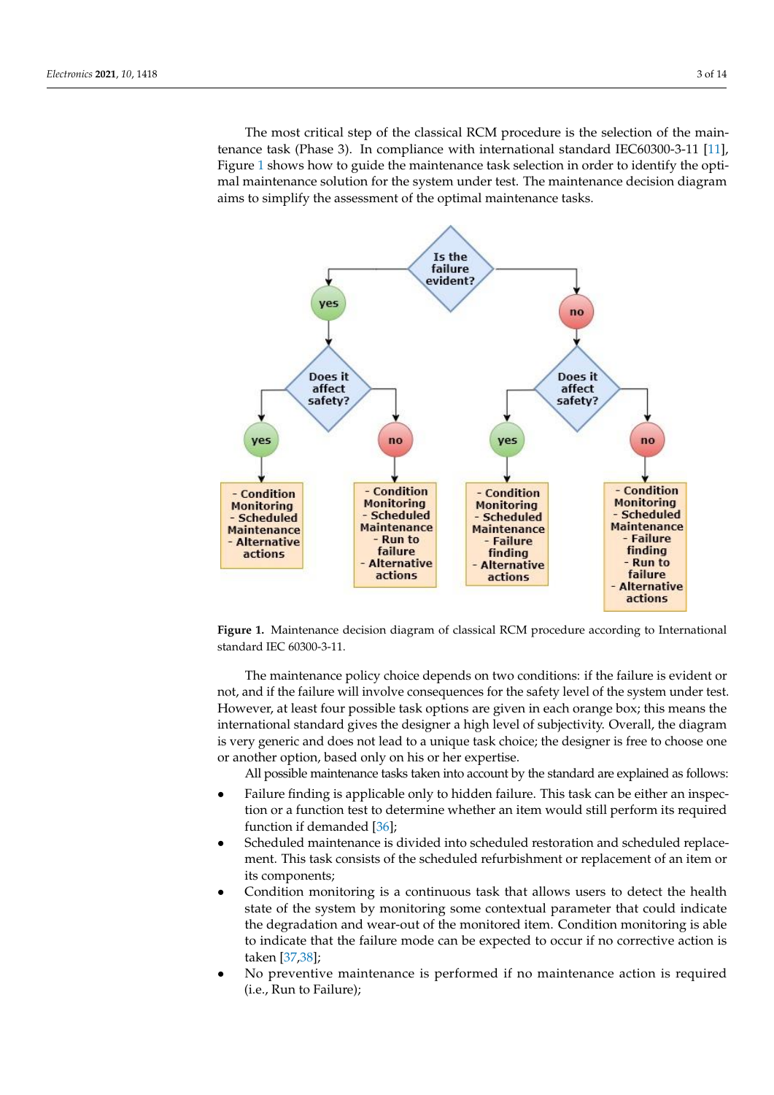The most critical step of the classical RCM procedure is the selection of the main-tenance task (Phase 3). In compliance with international standard IEC60300-3-11 [\[11\]](#page-12-1), Figure [1](#page-2-0) shows how to guide the maintenance task selection in order to identify the optimal maintenance solution for the system under test. The maintenance decision diagram maintenance solution for the system under test. The maintenance decision diagram aims aims to simplify the assessment of the optimal maintenance tasks. to simplify the assessment of the optimal maintenance tasks.

sure continuous improvement.

<span id="page-2-0"></span>

**Figure 1.** Maintenance decision diagram of classical RCM procedure according to International **Figure 1.** Maintenance decision diagram of classical RCM procedure according to International standard IEC 60300-3-11. standard IEC 60300-3-11.

not, and if the failure will involve consequences for the safety level of the system under test. However, at least four possible task options are given in each orange box; this means the<br>international standard gives the designer a bigh level of subjectivity. Overall, the diagram is very generic and does not lead to a unique task choice; the designer is free to choose one or another option, based only on his or her expertise. The maintenance policy choice depends on two conditions: if the failure is evident or international standard gives the designer a high level of subjectivity. Overall, the diagram

All possible maintenance tasks taken into account by the standard are explained as follows:

- ranuf middle is applicable only to hidden ranufe. This task can be entier an inspection or a function test to determine whether an item would still perform its required function if demanded [36];  $\frac{1}{1}$ • Failure finding is applicable only to hidden failure. This task can be either an inspec-
- Scheduled maintenance is divided into scheduled restoration and scheduled replacement. This task consists of the scheduled refurbishment or replacement of an item or<br>its components: its components;
- Condition monitoring is a continuous task that allows users to detect the health state of the system by monitoring some contextual parameter that could indicate<br>the decreation and wear, out of the monitored item. Condition monitoring is able to indicate that the failure mode can be expected to occur if no corrective action is  $\text{cm}$  [37,38]; the degradation and wear-out of the monitored item. Condition monitoring is able taken [37,38];
- No preventive maintenance is performed if no maintenance action is required  $\hat{a}$ . But to Erikum).  $(1, 0, 1)$  monitoring is a continuous task that allows users to detect the health state  $\frac{1}{n}$ (i.e., Run to Failure);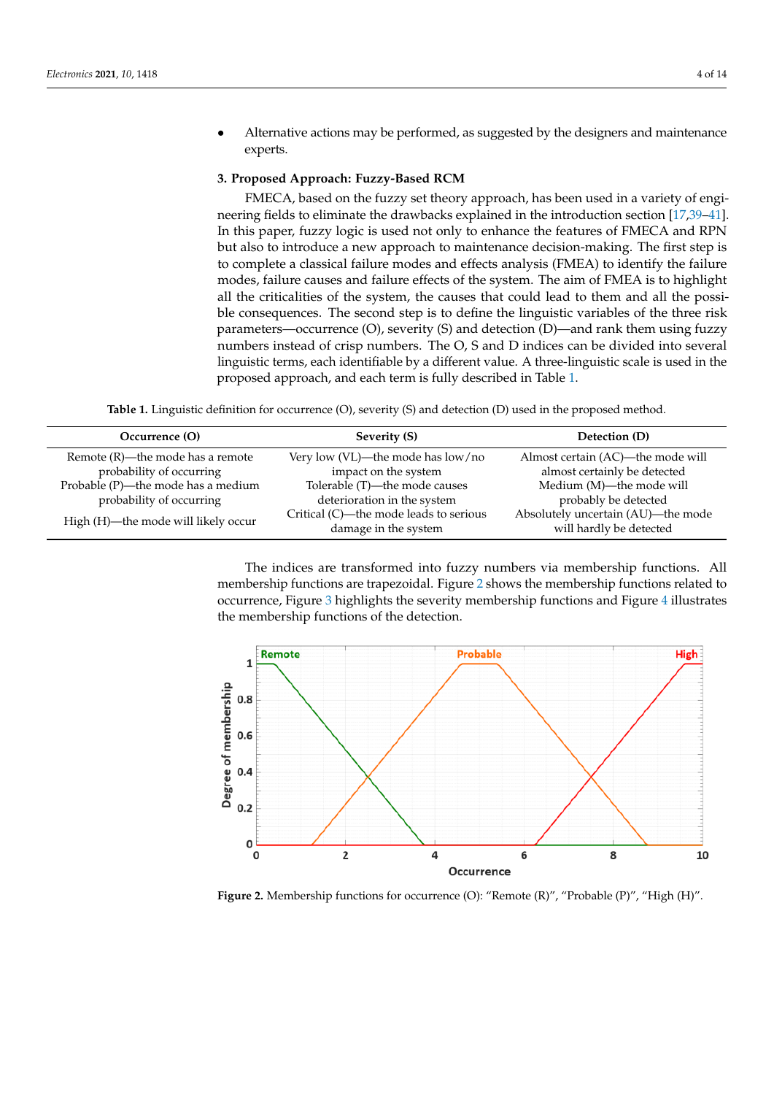• Alternative actions may be performed, as suggested by the designers and maintenance experts. texperts.  $\blacksquare$ 

## <span id="page-3-0"></span>3. Proposed Approach: Fuzzy-Based RCM

FMECA, based on the fuzzy set theory approach, has been used in a variety of engi-neering fields to eliminate the drawbacks explained in the introduction section [\[17](#page-12-5)[,39](#page-13-1)[–41\]](#page-13-2).<br>In this case of property of property (S) and detection for the property of property of property of property of In this paper, fuzzy logic is used not only to enhance the features of FMECA and RPN In this paper, razzy logic is used not only to enhance the reatures of TMECA and RAN<br>but also to introduce a new approach to maintenance decision-making. The first step is to complete a classical failure modes and effects analysis (FMEA) to identify the failure modes, failure causes and failure effects of the system. The aim of FMEA is to highlight all the criticalities of the system, the causes that could lead to them and all the possian the criticanties of the system, the causes that could lead to them and an the possi-<br>ble consequences. The second step is to define the linguistic variables of the three risk parameters—occurrence (O), severity (S) and detection (D)—and rank them using fuzzy numbers instead of crisp numbers. The O, S and D indices can be divided into several Immers instead of crisp numbers. The O, 3 and D marces can be divided into several<br>linguistic terms, each identifiable by a different value. A three-linguistic scale is used in the proposed approach, and each term is fully described in Table 1. ASI-<br>tisk

Table 1. Linguistic definition for occurrence (O), severity (S) and detection (D) used in the proposed method.

<span id="page-3-1"></span>

| Occurrence (O)                      | Severity (S)                                                   | Detection (D)                                                 |
|-------------------------------------|----------------------------------------------------------------|---------------------------------------------------------------|
| Remote (R)—the mode has a remote    | Very low (VL)—the mode has low/no                              | Almost certain (AC)—the mode will                             |
| probability of occurring            | impact on the system                                           | almost certainly be detected                                  |
| Probable (P)—the mode has a medium  | Tolerable (T)—the mode causes                                  | Medium (M)—the mode will                                      |
| probability of occurring            | deterioration in the system                                    | probably be detected                                          |
| High (H)-the mode will likely occur | Critical (C)—the mode leads to serious<br>damage in the system | Absolutely uncertain (AU)—the mode<br>will hardly be detected |
|                                     |                                                                |                                                               |

The indices are transformed into fuzzy numbers via membership functions. All membership functions are trapezoidal. Figure 2 shows [th](#page-3-2)e membership functions related to occurrence, Figure [3](#page-4-0) highlights the severity membership functions and Figure [4](#page-4-1) illustrates the membership functions of the detection. the membership functions of the detection.

<span id="page-3-2"></span>

**Figure 2.** Membership functions for occurrence (O): "Remote (R)", "Probable (P)", "High (H)". **Figure 2.** Membership functions for occurrence (O): "Remote (R)", "Probable (P)", "High (H)".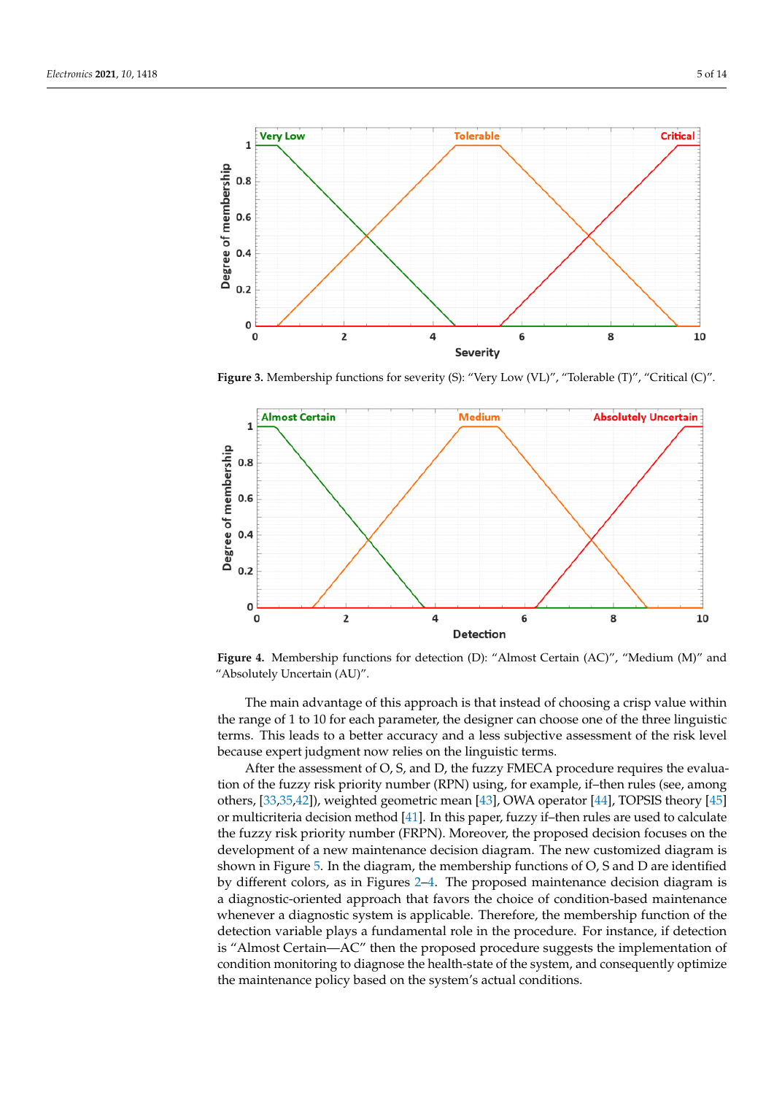<span id="page-4-0"></span>

Figure 3. Membership functions for severity (S): "Very Low (VL)", "Tolerable (T)", "Critical (C)".

<span id="page-4-1"></span>

"Absolutely Uncertain (AU)". **Figure 4.** Membership functions for detection (D): "Almost Certain (AC)", "Medium (M)" and **Figure 4.** Membership functions for detection (D): "Almost Certain (AC)", "Medium (M)" and

 $\mathcal{A}$ 

The main advantage of this approach is that instead of choosing a crisp value within the lines of the set of the courage of the set of the set of the set of the set of the risk level because expert judgment now relies on the linguistic terms.<br> **because expert judgment now relies on the linguistic terms.** the range of 1 to 10 for each parameter, the designer can choose one of the three linguistic

Ecclude of the rangement of the three of the designer can choose one of the three linguistic cannot define the three linguistic states on the three lines. tion of the fuzzy risk priority number (RPN) using, for example, if-then rules (see, among or multicriteria decision method [\[41\]](#page-13-2). In this paper, fuzzy if–then rules are used to calculate or multicriteria decision method [41]. In this paper, fuzzy if–then rules are used to calculate or municriteria decision metrica [41]. In this paper, fuzzy ii–then rules are used to calculate<br>the fuzzy risk priority number (FRPN). Moreover, the proposed decision focuses on the development of a new maintenance decision diagram. The new customized diagram is<br>shown in Figure 5. In the diagram, the membership functions of O.S and D are identified by different colors, as in Figures 2–4. The propos[ed](#page-4-1) maintenance decision diagram is a diagnostic-oriented approach that favors the choice of condition-based maintenance detection variable plays a fundamental role in the procedure. For instance, if detection variable plays a fundamental role in the procedure. For instance, if detection is "Almost Certain—AC" then the proposed procedure suggests the implementation of condition inonforming to diagriose the nearti-state of the system, and consequently optimize<br>the maintenance policy based on the system's actual conditions others, [33,35,42]), weighted geometric mean [43], OWA operator [44], TOPSIS theory [\[45\]](#page-13-6) development of a new maintenance decision diagram. The new customized diagram is shown in Figure 5. In the diagram, the membership functions of O, S and D are identified<br>her different release to Figure 2.4. The membership functions of objects discussed in whenever a diagnostic system is applicable. Therefore, the membership function of the condition monitoring to diagnose the health-state of the system, and consequently optimize the maintenance policy based on the system's actual conditions.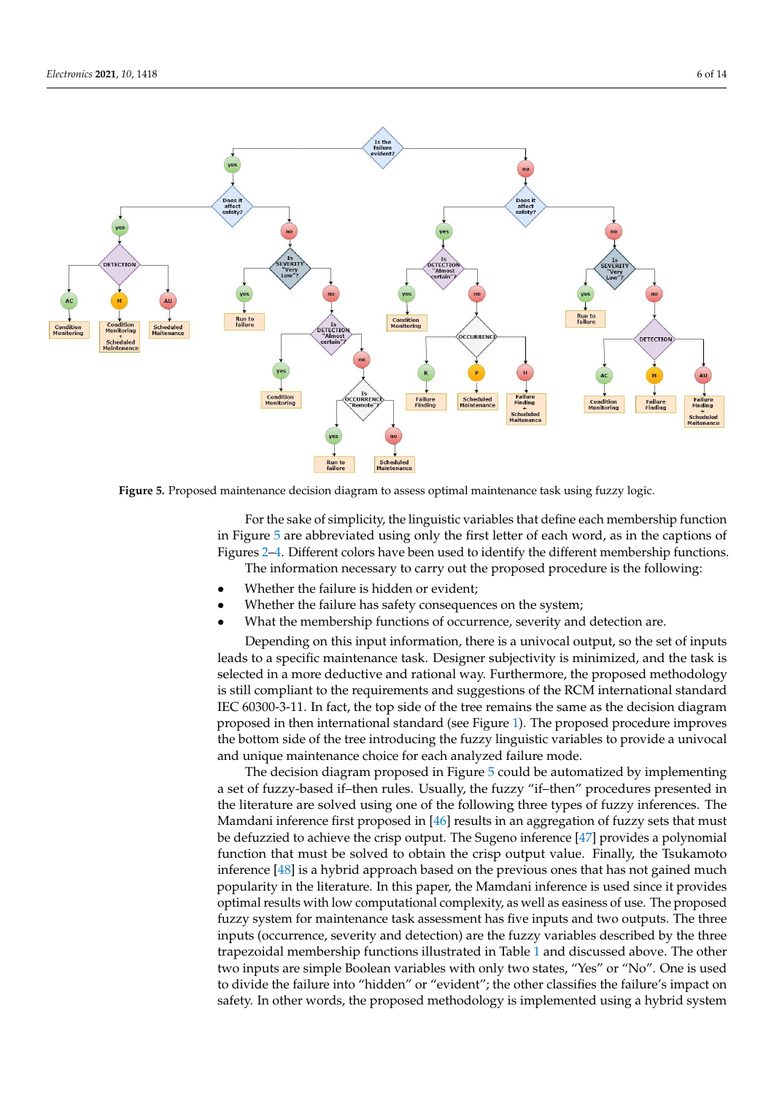<span id="page-5-0"></span>

**Figure 5.** Proposed maintenance decision diagram to assess optimal maintenance task using fuzzy logic. **Figure 5.** Proposed maintenance decision diagram to assess optimal maintenance task using fuzzy logic.

For the sake of simplicity, the linguistic variables that define each membership function in Fi[gu](#page-5-0)re  $5$  are abbreviated using only the first letter of each word, as in the captions of Figu[res](#page-3-2) 2[–4.](#page-4-1) Different colors have been used to identify the different membership functions. The information necessary to carry out the proposed procedure is the following:

- Whether the failure is hidden or evident;
- Whether the failure has safety consequences on the system;
- What the membership functions of occurrence, severity and detection are.

Depending on this input information, there is a univocal output, so the set of inputs leads to a specific maintenance task. Designer subjectivity is minimized, and the task is selected in a more deductive and rational way. Furthermore, the proposed methodology is still compliant to the requirements and suggestions of the RCM international standard IEC 60300-3-11. In fact, the top side of the tree remains the same as the decision diagram proposed in then international standard (see Figure [1\)](#page-2-0). The proposed procedure improves the bottom side of the tree introducing the fuzzy linguistic variables to provide a univocal the bottom side of the tree introducing the fuzzy linguistic variables to provide a univocal and unique maintenance choice for each analyzed failure mode.

The decision diagram proposed in Figure [5](#page-5-0) could be automatized by implementing a set of fuzzy-based if–then rules. Usually, the fuzzy "if–then" procedures presented in the literature are solved using one of the following three types of fuzzy inferences. The Mamdani inference first proposed in [\[46\]](#page-13-7) results in an aggregation of fuzzy sets that must<br> $\frac{1}{2}$ be defuzzied to achieve the crisp output. The Sugeno inference  $[47]$  provides a polynomial  $\epsilon$ function that must be solved to obtain the crisp output value. Finally, the Tsukamoto inference [\[48\]](#page-13-9) is a hybrid approach based on the previous ones that has not gained much<br>in approximation the Fitzgature. In this name, the Man dani inference is used since it name idea popularity in the literature. In this paper, the Mamdani inference is used since it provides<br>cational may be villalary commutational complexity as vall as assigned free. The number of pularity, as well as easilies of ase. The proposed fuzzy system for maintenance task assessment has five inputs and two outputs. The three inputs (occurrence, severity and detection) are the fuzzy variables described by the three mpais (occurrence) severity and accounting, are the range variances described by the three trapezoidal membership functions illustrated in Table [1](#page-3-1) and discussed above. The other two inputs are simple Boolean variables with only two states, "Yes" or "No". One is used three trapes are called the failure into "hidden" or "evident"; the other classifies the failure's impact on  $\epsilon$  safety. In other words, the prepead methodology is implemented using a hybrid system safety. In other words, the proposed methodology is implemented using a hybrid system optimal results with low computational complexity, as well as easiness of use. The proposed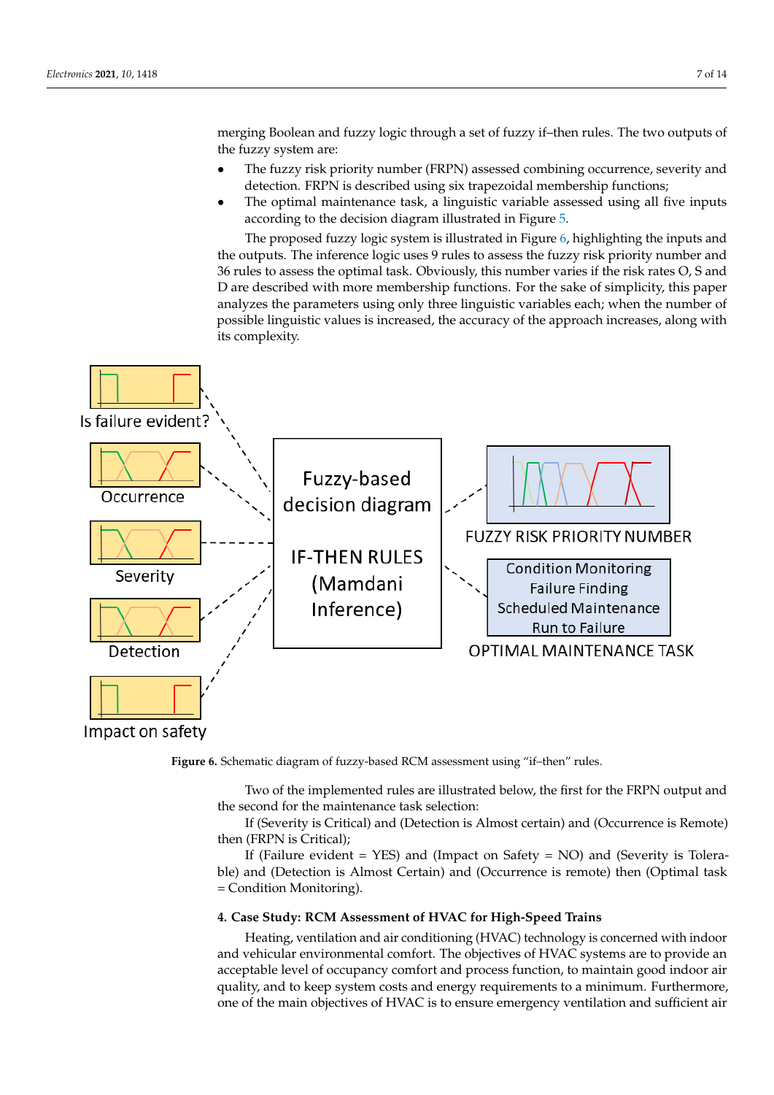merging Boolean and fuzzy logic through a set of fuzzy if-then rules. The two outputs of the fuzzy system are: cording to the decision diagram in Figure 5. The decision diagram is  $\mathcal{L}$  for  $\mathcal{L}$   $\mathcal{L}$  from  $\mathcal{L}$   $\mathcal{L}$   $\mathcal{L}$   $\mathcal{L}$   $\mathcal{L}$   $\mathcal{L}$   $\mathcal{L}$   $\mathcal{L}$   $\mathcal{L}$   $\mathcal{L}$   $\mathcal{L}$   $\mathcal{L}$   $\mathcal{L}$ 

- The fuzzy risk priority number (FRPN) assessed combining occurrence, severity and detection. FRPN is described using six trapezoidal membership functions;
- The optimal maintenance task, a linguistic variable assessed using all five inputs.<br>according to the decision diagram illustrated in Figure 5. according to the decision diagram illustrated in Figure [5.](#page-5-0)

The proposed fuzzy logic system is illustrated in Figure [6,](#page-6-1) highlighting the inputs and the outputs. The inference logic uses 9 rules to assess the fuzzy risk priority number and 36 rules to assess the optimal task. Obviously, this number varies if the risk rates O, S and<br>D are described with more membership functions. For the sake of simplicity, this paper D are described with more membership functions. For the sake of simplicity, this paper analyzes the parameters using only three linguistic variables each; when the number of possible linguistic values is increased, the accuracy of the approach increases, along with its complexity.  $\mathbf{p}$ o

<span id="page-6-1"></span>

Impact on safety

**Figure 6.** Schematic diagram of fuzzy-based RCM assessment using "if–then" rules. **Figure 6.** Schematic diagram of fuzzy-based RCM assessment using "if–then" rules.

Two of the implemented rules are illustrated below, the first for the FRPN output and the second for the maintenance task selection:

If (Severity is Critical) and (Detection is Almost certain) and (Occurrence is Remote) then (FRPN is Critical);

If (Failure evident = YES) and (Impact on Safety = NO) and (Severity is Tolera-<br>
ble) and (Detection is Almost Certain) and (Occurrence is remote) then (Optimal took  $=$  Condition Monitoring). ble) and (Detection is Almost Certain) and (Occurrence is remote) then (Optimal task

# <span id="page-6-0"></span>**4. Case Study: RCM Assessment of HVAC for High-Speed Trains**

Heating, ventilation and air conditioning (HVAC) technology is concerned with indoor one of the main objectives of HVAC is to ensure emergency ventilation and sufficient air and vehicular environmental comfort. The objectives of HVAC systems are to provide an acceptable level of occupancy comfort and process function, to maintain good indoor air quality, and to keep system costs and energy requirements to a minimum. Furthermore,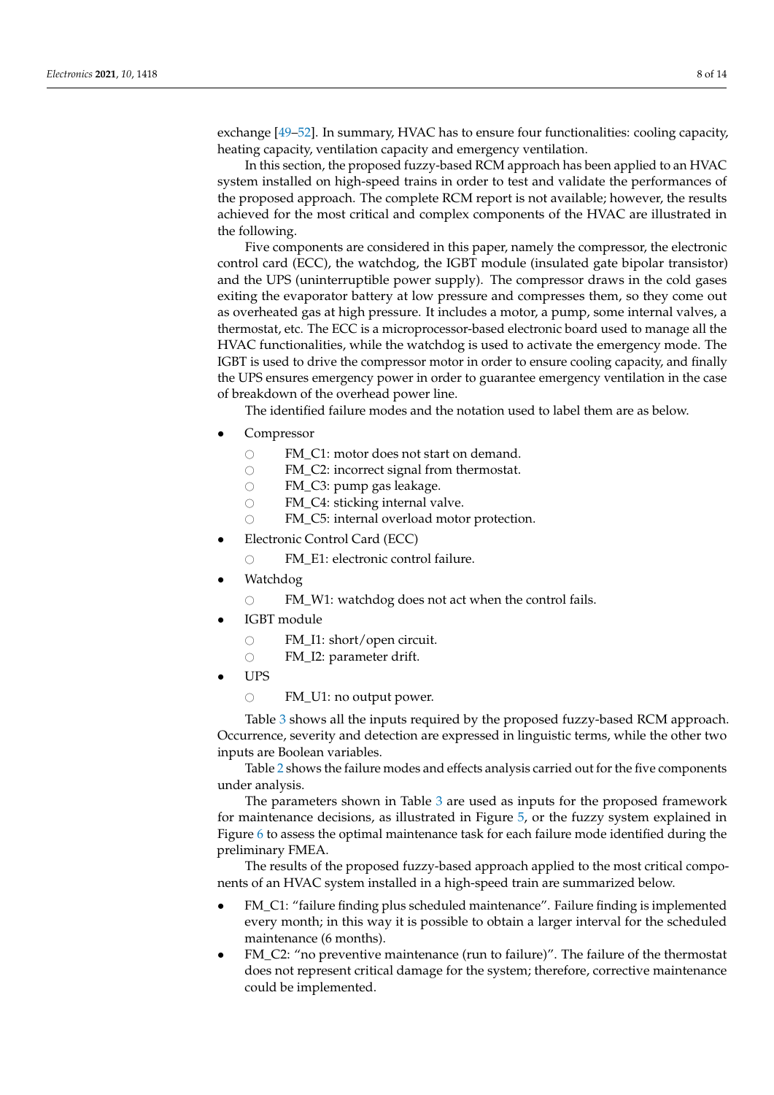exchange [\[49](#page-13-10)[–52\]](#page-13-11). In summary, HVAC has to ensure four functionalities: cooling capacity, heating capacity, ventilation capacity and emergency ventilation.

In this section, the proposed fuzzy-based RCM approach has been applied to an HVAC system installed on high-speed trains in order to test and validate the performances of the proposed approach. The complete RCM report is not available; however, the results achieved for the most critical and complex components of the HVAC are illustrated in the following.

Five components are considered in this paper, namely the compressor, the electronic control card (ECC), the watchdog, the IGBT module (insulated gate bipolar transistor) and the UPS (uninterruptible power supply). The compressor draws in the cold gases exiting the evaporator battery at low pressure and compresses them, so they come out as overheated gas at high pressure. It includes a motor, a pump, some internal valves, a thermostat, etc. The ECC is a microprocessor-based electronic board used to manage all the HVAC functionalities, while the watchdog is used to activate the emergency mode. The IGBT is used to drive the compressor motor in order to ensure cooling capacity, and finally the UPS ensures emergency power in order to guarantee emergency ventilation in the case of breakdown of the overhead power line.

The identified failure modes and the notation used to label them are as below.

- Compressor
	- $\circ$  FM\_C1: motor does not start on demand.<br> $\circ$  FM C2: incorrect signal from thermostat.
	- $\circ$  FM\_C2: incorrect signal from thermostat.<br> $\circ$  FM\_C3: pump gas leakage.
	- $\circ$  FM\_C3: pump gas leakage.<br> $\circ$  FM C4: sticking internal va
	- $\circ$  FM\_C4: sticking internal valve.<br> $\circ$  FM\_C5: internal overload moto
	- FM\_C5: internal overload motor protection.
- Electronic Control Card (ECC)
	- $\bigcirc$  FM\_E1: electronic control failure.
- Watchdog
	- $\circ$  FM\_W1: watchdog does not act when the control fails.
- IGBT module
	- FM\_I1: short/open circuit.<br>○ FM I2: parameter drift.
	- FM\_I2: parameter drift.
- UPS
	- $\circ$  FM\_U1: no output power.

Table [3](#page-10-0) shows all the inputs required by the proposed fuzzy-based RCM approach. Occurrence, severity and detection are expressed in linguistic terms, while the other two inputs are Boolean variables.

Table [2](#page-9-0) shows the failure modes and effects analysis carried out for the five components under analysis.

The parameters shown in Table [3](#page-10-0) are used as inputs for the proposed framework for maintenance decisions, as illustrated in Figure [5,](#page-5-0) or the fuzzy system explained in Figure [6](#page-6-1) to assess the optimal maintenance task for each failure mode identified during the preliminary FMEA.

The results of the proposed fuzzy-based approach applied to the most critical components of an HVAC system installed in a high-speed train are summarized below.

- FM\_C1: "failure finding plus scheduled maintenance". Failure finding is implemented every month; in this way it is possible to obtain a larger interval for the scheduled maintenance (6 months).
- FM\_C2: "no preventive maintenance (run to failure)". The failure of the thermostat does not represent critical damage for the system; therefore, corrective maintenance could be implemented.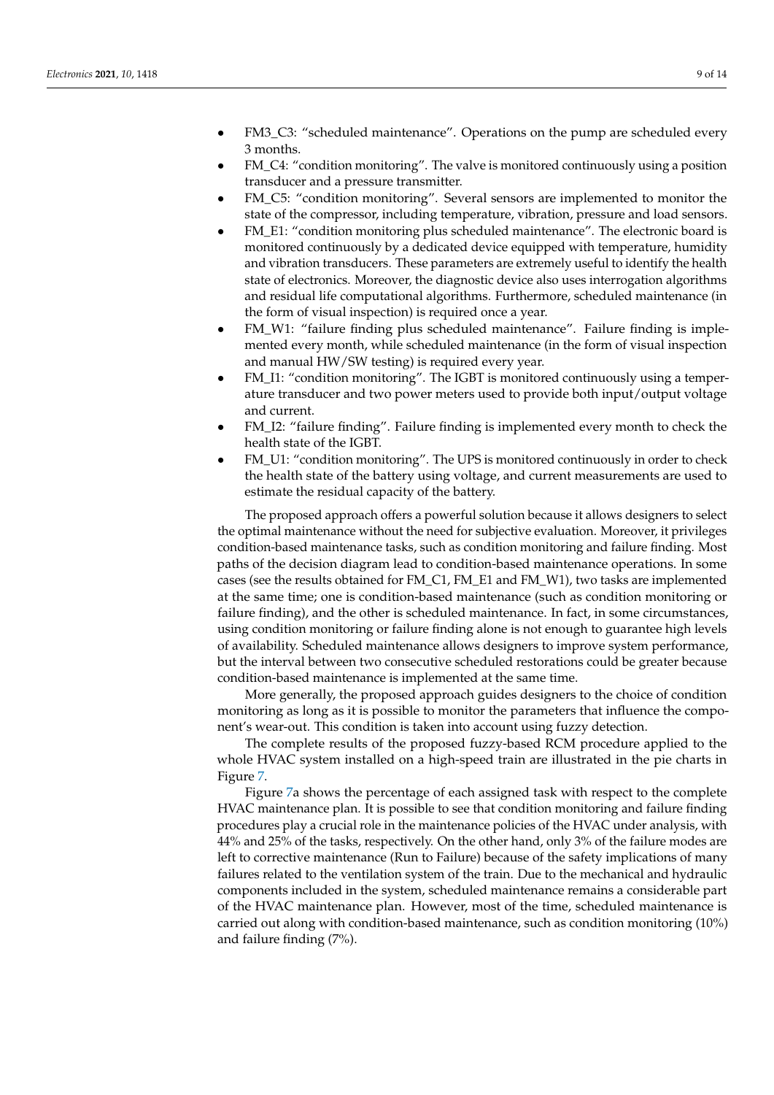- FM3\_C3: "scheduled maintenance". Operations on the pump are scheduled every 3 months.
- FM\_C4: "condition monitoring". The valve is monitored continuously using a position transducer and a pressure transmitter.
- FM\_C5: "condition monitoring". Several sensors are implemented to monitor the state of the compressor, including temperature, vibration, pressure and load sensors.
- FM\_E1: "condition monitoring plus scheduled maintenance". The electronic board is monitored continuously by a dedicated device equipped with temperature, humidity and vibration transducers. These parameters are extremely useful to identify the health state of electronics. Moreover, the diagnostic device also uses interrogation algorithms and residual life computational algorithms. Furthermore, scheduled maintenance (in the form of visual inspection) is required once a year.
- FM\_W1: "failure finding plus scheduled maintenance". Failure finding is implemented every month, while scheduled maintenance (in the form of visual inspection and manual HW/SW testing) is required every year.
- FM\_I1: "condition monitoring". The IGBT is monitored continuously using a temperature transducer and two power meters used to provide both input/output voltage and current.
- FM\_I2: "failure finding". Failure finding is implemented every month to check the health state of the IGBT.
- FM\_U1: "condition monitoring". The UPS is monitored continuously in order to check the health state of the battery using voltage, and current measurements are used to estimate the residual capacity of the battery.

The proposed approach offers a powerful solution because it allows designers to select the optimal maintenance without the need for subjective evaluation. Moreover, it privileges condition-based maintenance tasks, such as condition monitoring and failure finding. Most paths of the decision diagram lead to condition-based maintenance operations. In some cases (see the results obtained for FM\_C1, FM\_E1 and FM\_W1), two tasks are implemented at the same time; one is condition-based maintenance (such as condition monitoring or failure finding), and the other is scheduled maintenance. In fact, in some circumstances, using condition monitoring or failure finding alone is not enough to guarantee high levels of availability. Scheduled maintenance allows designers to improve system performance, but the interval between two consecutive scheduled restorations could be greater because condition-based maintenance is implemented at the same time.

More generally, the proposed approach guides designers to the choice of condition monitoring as long as it is possible to monitor the parameters that influence the component's wear-out. This condition is taken into account using fuzzy detection.

The complete results of the proposed fuzzy-based RCM procedure applied to the whole HVAC system installed on a high-speed train are illustrated in the pie charts in Figure [7.](#page-10-1)

Figure [7a](#page-10-1) shows the percentage of each assigned task with respect to the complete HVAC maintenance plan. It is possible to see that condition monitoring and failure finding procedures play a crucial role in the maintenance policies of the HVAC under analysis, with 44% and 25% of the tasks, respectively. On the other hand, only 3% of the failure modes are left to corrective maintenance (Run to Failure) because of the safety implications of many failures related to the ventilation system of the train. Due to the mechanical and hydraulic components included in the system, scheduled maintenance remains a considerable part of the HVAC maintenance plan. However, most of the time, scheduled maintenance is carried out along with condition-based maintenance, such as condition monitoring (10%) and failure finding (7%).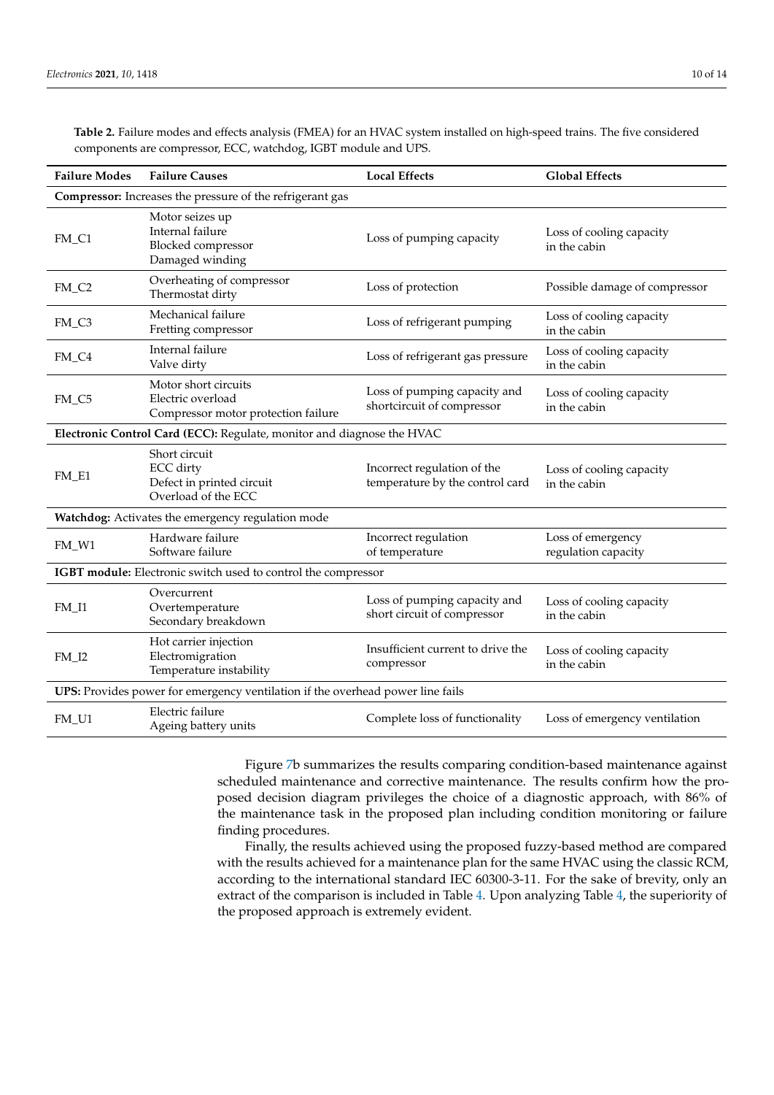| <b>Failure Modes</b> | <b>Failure Causes</b>                                                                 | <b>Local Effects</b>                                           | <b>Global Effects</b>                    |  |  |
|----------------------|---------------------------------------------------------------------------------------|----------------------------------------------------------------|------------------------------------------|--|--|
|                      | Compressor: Increases the pressure of the refrigerant gas                             |                                                                |                                          |  |  |
| FM_C1                | Motor seizes up<br>Internal failure<br>Blocked compressor<br>Damaged winding          | Loss of pumping capacity                                       | Loss of cooling capacity<br>in the cabin |  |  |
| FM_C <sub>2</sub>    | Overheating of compressor<br>Thermostat dirty                                         | Loss of protection                                             | Possible damage of compressor            |  |  |
| FM_C3                | Mechanical failure<br>Fretting compressor                                             | Loss of refrigerant pumping                                    | Loss of cooling capacity<br>in the cabin |  |  |
| FM_C4                | Internal failure<br>Valve dirty                                                       | Loss of refrigerant gas pressure                               | Loss of cooling capacity<br>in the cabin |  |  |
| FM_C5                | Motor short circuits<br>Electric overload<br>Compressor motor protection failure      | Loss of pumping capacity and<br>shortcircuit of compressor     | Loss of cooling capacity<br>in the cabin |  |  |
|                      | Electronic Control Card (ECC): Regulate, monitor and diagnose the HVAC                |                                                                |                                          |  |  |
| FM_E1                | Short circuit<br><b>ECC</b> dirty<br>Defect in printed circuit<br>Overload of the ECC | Incorrect regulation of the<br>temperature by the control card | Loss of cooling capacity<br>in the cabin |  |  |
|                      | Watchdog: Activates the emergency regulation mode                                     |                                                                |                                          |  |  |
| FM_W1                | Hardware failure<br>Software failure                                                  | Incorrect regulation<br>of temperature                         | Loss of emergency<br>regulation capacity |  |  |
|                      | IGBT module: Electronic switch used to control the compressor                         |                                                                |                                          |  |  |
| $FM_11$              | Overcurrent<br>Overtemperature<br>Secondary breakdown                                 | Loss of pumping capacity and<br>short circuit of compressor    | Loss of cooling capacity<br>in the cabin |  |  |
| $FM_12$              | Hot carrier injection<br>Electromigration<br>Temperature instability                  | Insufficient current to drive the<br>compressor                | Loss of cooling capacity<br>in the cabin |  |  |
|                      | UPS: Provides power for emergency ventilation if the overhead power line fails        |                                                                |                                          |  |  |
| FM_U1                | Electric failure<br>Ageing battery units                                              | Complete loss of functionality                                 | Loss of emergency ventilation            |  |  |

<span id="page-9-0"></span>**Table 2.** Failure modes and effects analysis (FMEA) for an HVAC system installed on high-speed trains. The five considered components are compressor, ECC, watchdog, IGBT module and UPS.

> Figure [7b](#page-10-1) summarizes the results comparing condition-based maintenance against scheduled maintenance and corrective maintenance. The results confirm how the proposed decision diagram privileges the choice of a diagnostic approach, with 86% of the maintenance task in the proposed plan including condition monitoring or failure finding procedures.

> Finally, the results achieved using the proposed fuzzy-based method are compared with the results achieved for a maintenance plan for the same HVAC using the classic RCM, according to the international standard IEC 60300-3-11. For the sake of brevity, only an extract of the comparison is included in Table [4.](#page-10-2) Upon analyzing Table [4,](#page-10-2) the superiority of the proposed approach is extremely evident.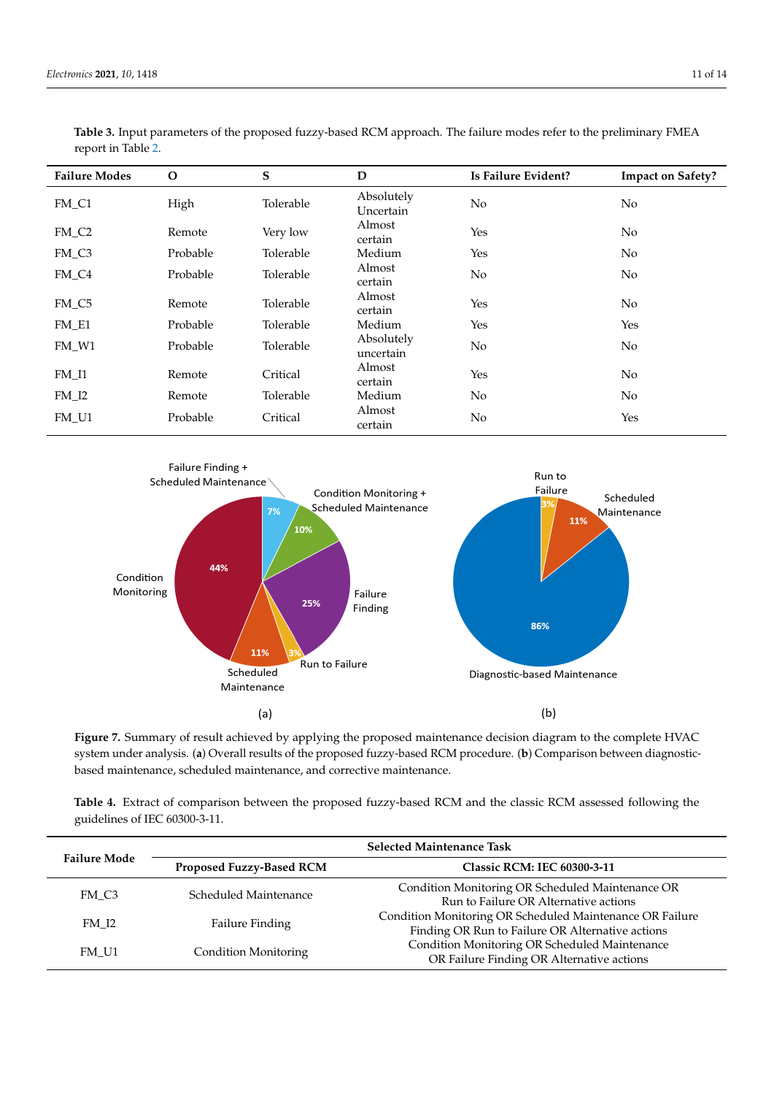| <b>Failure Modes</b> | $\Omega$ | ${\bf S}$ | $\mathbf D$             | Is Failure Evident? | <b>Impact on Safety?</b> |
|----------------------|----------|-----------|-------------------------|---------------------|--------------------------|
| FM_C1                | High     | Tolerable | Absolutely<br>Uncertain | No                  | N <sub>o</sub>           |
| FM_C <sub>2</sub>    | Remote   | Very low  | Almost<br>certain       | Yes                 | N <sub>o</sub>           |
| FM_C3                | Probable | Tolerable | Medium                  | Yes                 | No                       |
| FM_C4                | Probable | Tolerable | Almost<br>certain       | No                  | N <sub>o</sub>           |
| FM_C5                | Remote   | Tolerable | Almost<br>certain       | Yes                 | N <sub>o</sub>           |
| $FM_E1$              | Probable | Tolerable | Medium                  | Yes                 | Yes                      |
| FM W1                | Probable | Tolerable | Absolutely<br>uncertain | No                  | N <sub>o</sub>           |
| $FM_11$              | Remote   | Critical  | Almost<br>certain       | Yes                 | No                       |
| $FM_12$              | Remote   | Tolerable | Medium                  | No                  | N <sub>o</sub>           |
| FM_U1                | Probable | Critical  | Almost<br>certain       | No                  | Yes                      |

<span id="page-10-0"></span>**Table 3.** Input parameters of the proposed fuzzy-based RCM approach. The failure modes refer to the preliminary FMEA report in Table [2.](#page-9-0)

<span id="page-10-1"></span>

Figure 7. Summary of result achieved by applying the proposed maintenance decision diagram to the complete HVAC system under analysis. (a) Overall results of the proposed fuzzy-based RCM procedure. (b) Comparison between diagnosticbased maintenance, scheduled maintenance, and corrective maintenance.

<span id="page-10-2"></span>Table 4. Extract of comparison between the proposed fuzzy-based RCM and the classic RCM assessed following the HVAC maintenance plan. It is possible to see that condition monitoring and failure findguidelines of IEC 60300-3-11.

| <b>Failure Mode</b> | <b>Selected Maintenance Task</b> |                                                                                                              |  |  |
|---------------------|----------------------------------|--------------------------------------------------------------------------------------------------------------|--|--|
|                     | Proposed Fuzzy-Based RCM         | <b>Classic RCM: IEC 60300-3-11</b>                                                                           |  |  |
| FM C3               | Scheduled Maintenance            | Condition Monitoring OR Scheduled Maintenance OR<br>Run to Failure OR Alternative actions                    |  |  |
| FM I2               | <b>Failure Finding</b>           | Condition Monitoring OR Scheduled Maintenance OR Failure<br>Finding OR Run to Failure OR Alternative actions |  |  |
| FM U1               | Condition Monitoring             | Condition Monitoring OR Scheduled Maintenance<br>OR Failure Finding OR Alternative actions                   |  |  |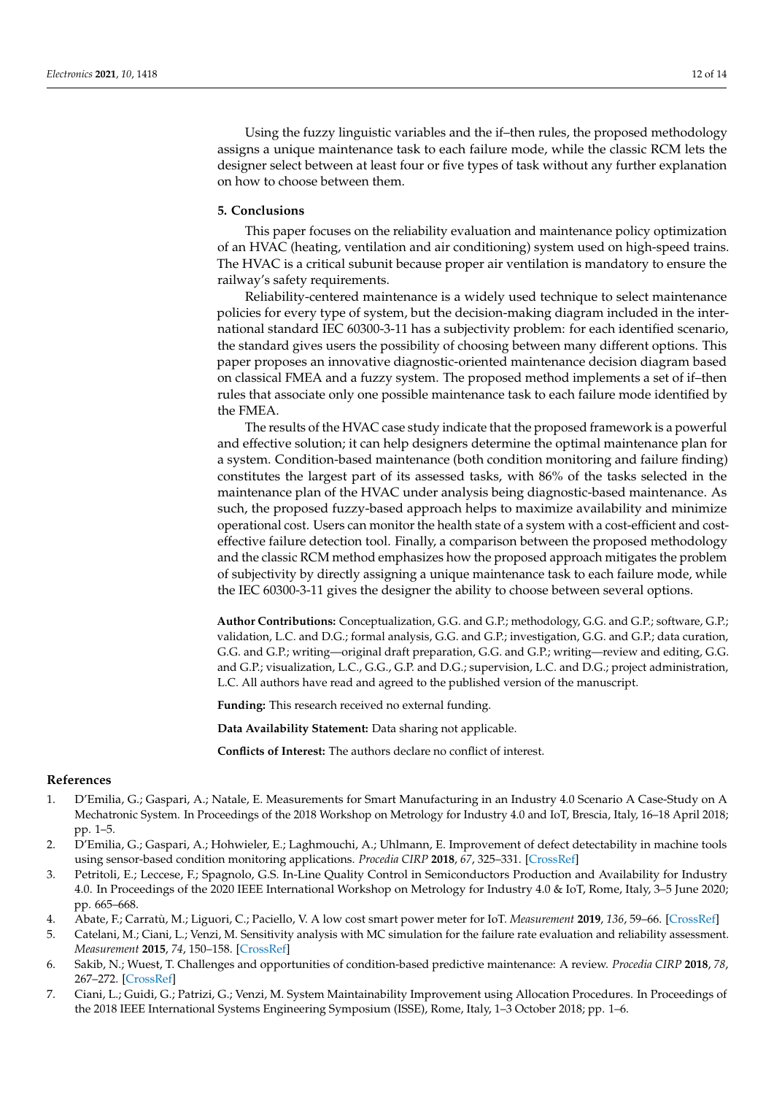Using the fuzzy linguistic variables and the if–then rules, the proposed methodology assigns a unique maintenance task to each failure mode, while the classic RCM lets the designer select between at least four or five types of task without any further explanation on how to choose between them.

### <span id="page-11-3"></span>**5. Conclusions**

This paper focuses on the reliability evaluation and maintenance policy optimization of an HVAC (heating, ventilation and air conditioning) system used on high-speed trains. The HVAC is a critical subunit because proper air ventilation is mandatory to ensure the railway's safety requirements.

Reliability-centered maintenance is a widely used technique to select maintenance policies for every type of system, but the decision-making diagram included in the international standard IEC 60300-3-11 has a subjectivity problem: for each identified scenario, the standard gives users the possibility of choosing between many different options. This paper proposes an innovative diagnostic-oriented maintenance decision diagram based on classical FMEA and a fuzzy system. The proposed method implements a set of if–then rules that associate only one possible maintenance task to each failure mode identified by the FMEA.

The results of the HVAC case study indicate that the proposed framework is a powerful and effective solution; it can help designers determine the optimal maintenance plan for a system. Condition-based maintenance (both condition monitoring and failure finding) constitutes the largest part of its assessed tasks, with 86% of the tasks selected in the maintenance plan of the HVAC under analysis being diagnostic-based maintenance. As such, the proposed fuzzy-based approach helps to maximize availability and minimize operational cost. Users can monitor the health state of a system with a cost-efficient and costeffective failure detection tool. Finally, a comparison between the proposed methodology and the classic RCM method emphasizes how the proposed approach mitigates the problem of subjectivity by directly assigning a unique maintenance task to each failure mode, while the IEC 60300-3-11 gives the designer the ability to choose between several options.

**Author Contributions:** Conceptualization, G.G. and G.P.; methodology, G.G. and G.P.; software, G.P.; validation, L.C. and D.G.; formal analysis, G.G. and G.P.; investigation, G.G. and G.P.; data curation, G.G. and G.P.; writing—original draft preparation, G.G. and G.P.; writing—review and editing, G.G. and G.P.; visualization, L.C., G.G., G.P. and D.G.; supervision, L.C. and D.G.; project administration, L.C. All authors have read and agreed to the published version of the manuscript.

**Funding:** This research received no external funding.

**Data Availability Statement:** Data sharing not applicable.

**Conflicts of Interest:** The authors declare no conflict of interest.

### **References**

- <span id="page-11-0"></span>1. D'Emilia, G.; Gaspari, A.; Natale, E. Measurements for Smart Manufacturing in an Industry 4.0 Scenario A Case-Study on A Mechatronic System. In Proceedings of the 2018 Workshop on Metrology for Industry 4.0 and IoT, Brescia, Italy, 16–18 April 2018; pp. 1–5.
- 2. D'Emilia, G.; Gaspari, A.; Hohwieler, E.; Laghmouchi, A.; Uhlmann, E. Improvement of defect detectability in machine tools using sensor-based condition monitoring applications. *Procedia CIRP* **2018**, *67*, 325–331. [\[CrossRef\]](http://doi.org/10.1016/j.procir.2017.12.221)
- 3. Petritoli, E.; Leccese, F.; Spagnolo, G.S. In-Line Quality Control in Semiconductors Production and Availability for Industry 4.0. In Proceedings of the 2020 IEEE International Workshop on Metrology for Industry 4.0 & IoT, Rome, Italy, 3–5 June 2020; pp. 665–668.
- 4. Abate, F.; Carratù, M.; Liguori, C.; Paciello, V. A low cost smart power meter for IoT. *Measurement* **2019**, *136*, 59–66. [\[CrossRef\]](http://doi.org/10.1016/j.measurement.2018.12.069)
- <span id="page-11-1"></span>5. Catelani, M.; Ciani, L.; Venzi, M. Sensitivity analysis with MC simulation for the failure rate evaluation and reliability assessment. *Measurement* **2015**, *74*, 150–158. [\[CrossRef\]](http://doi.org/10.1016/j.measurement.2015.07.003)
- <span id="page-11-2"></span>6. Sakib, N.; Wuest, T. Challenges and opportunities of condition-based predictive maintenance: A review. *Procedia CIRP* **2018**, *78*, 267–272. [\[CrossRef\]](http://doi.org/10.1016/j.procir.2018.08.318)
- 7. Ciani, L.; Guidi, G.; Patrizi, G.; Venzi, M. System Maintainability Improvement using Allocation Procedures. In Proceedings of the 2018 IEEE International Systems Engineering Symposium (ISSE), Rome, Italy, 1–3 October 2018; pp. 1–6.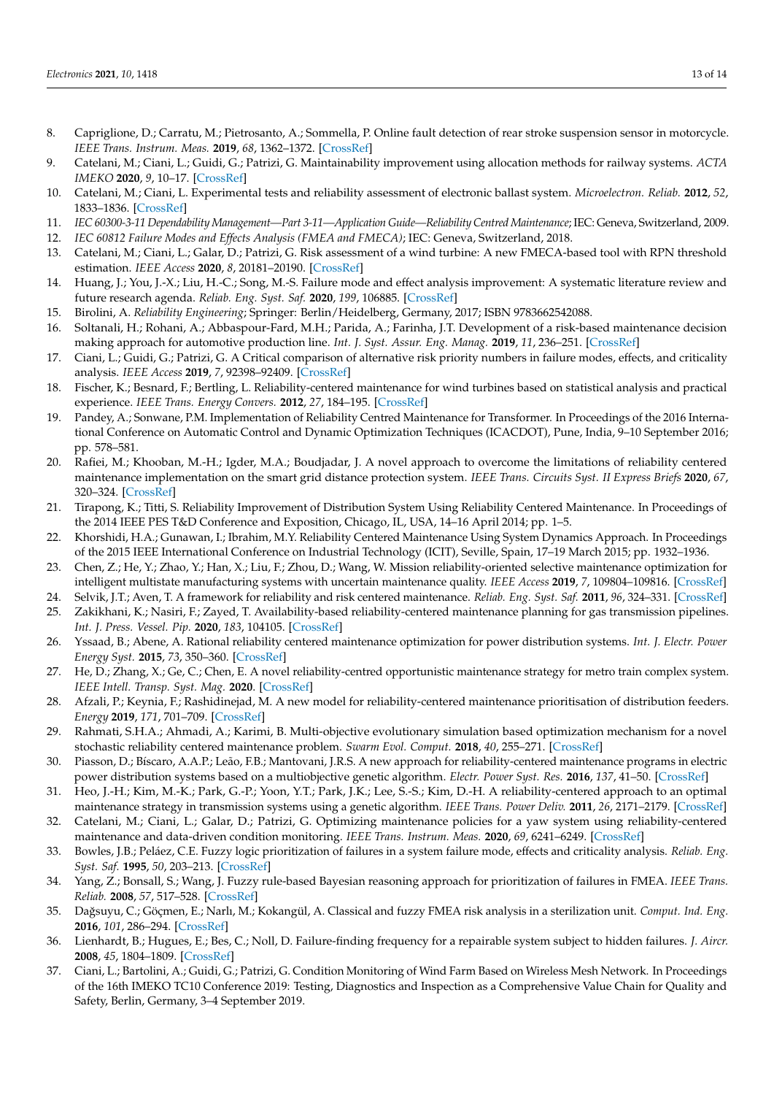- 8. Capriglione, D.; Carratu, M.; Pietrosanto, A.; Sommella, P. Online fault detection of rear stroke suspension sensor in motorcycle. *IEEE Trans. Instrum. Meas.* **2019**, *68*, 1362–1372. [\[CrossRef\]](http://doi.org/10.1109/TIM.2019.2905945)
- 9. Catelani, M.; Ciani, L.; Guidi, G.; Patrizi, G. Maintainability improvement using allocation methods for railway systems. *ACTA IMEKO* **2020**, *9*, 10–17. [\[CrossRef\]](http://doi.org/10.21014/acta_imeko.v9i1.733)
- <span id="page-12-0"></span>10. Catelani, M.; Ciani, L. Experimental tests and reliability assessment of electronic ballast system. *Microelectron. Reliab.* **2012**, *52*, 1833–1836. [\[CrossRef\]](http://doi.org/10.1016/j.microrel.2012.06.077)
- <span id="page-12-1"></span>11. *IEC 60300-3-11 Dependability Management—Part 3-11—Application Guide—Reliability Centred Maintenance*; IEC: Geneva, Switzerland, 2009.
- <span id="page-12-2"></span>12. *IEC 60812 Failure Modes and Effects Analysis (FMEA and FMECA)*; IEC: Geneva, Switzerland, 2018.
- 13. Catelani, M.; Ciani, L.; Galar, D.; Patrizi, G. Risk assessment of a wind turbine: A new FMECA-based tool with RPN threshold estimation. *IEEE Access* **2020**, *8*, 20181–20190. [\[CrossRef\]](http://doi.org/10.1109/ACCESS.2020.2968812)
- 14. Huang, J.; You, J.-X.; Liu, H.-C.; Song, M.-S. Failure mode and effect analysis improvement: A systematic literature review and future research agenda. *Reliab. Eng. Syst. Saf.* **2020**, *199*, 106885. [\[CrossRef\]](http://doi.org/10.1016/j.ress.2020.106885)
- <span id="page-12-3"></span>15. Birolini, A. *Reliability Engineering*; Springer: Berlin/Heidelberg, Germany, 2017; ISBN 9783662542088.
- <span id="page-12-4"></span>16. Soltanali, H.; Rohani, A.; Abbaspour-Fard, M.H.; Parida, A.; Farinha, J.T. Development of a risk-based maintenance decision making approach for automotive production line. *Int. J. Syst. Assur. Eng. Manag.* **2019**, *11*, 236–251. [\[CrossRef\]](http://doi.org/10.1007/s13198-019-00927-1)
- <span id="page-12-5"></span>17. Ciani, L.; Guidi, G.; Patrizi, G. A Critical comparison of alternative risk priority numbers in failure modes, effects, and criticality analysis. *IEEE Access* **2019**, *7*, 92398–92409. [\[CrossRef\]](http://doi.org/10.1109/ACCESS.2019.2928120)
- <span id="page-12-6"></span>18. Fischer, K.; Besnard, F.; Bertling, L. Reliability-centered maintenance for wind turbines based on statistical analysis and practical experience. *IEEE Trans. Energy Convers.* **2012**, *27*, 184–195. [\[CrossRef\]](http://doi.org/10.1109/TEC.2011.2176129)
- <span id="page-12-7"></span>19. Pandey, A.; Sonwane, P.M. Implementation of Reliability Centred Maintenance for Transformer. In Proceedings of the 2016 International Conference on Automatic Control and Dynamic Optimization Techniques (ICACDOT), Pune, India, 9–10 September 2016; pp. 578–581.
- <span id="page-12-8"></span>20. Rafiei, M.; Khooban, M.-H.; Igder, M.A.; Boudjadar, J. A novel approach to overcome the limitations of reliability centered maintenance implementation on the smart grid distance protection system. *IEEE Trans. Circuits Syst. II Express Briefs* **2020**, *67*, 320–324. [\[CrossRef\]](http://doi.org/10.1109/TCSII.2019.2905639)
- <span id="page-12-9"></span>21. Tirapong, K.; Titti, S. Reliability Improvement of Distribution System Using Reliability Centered Maintenance. In Proceedings of the 2014 IEEE PES T&D Conference and Exposition, Chicago, IL, USA, 14–16 April 2014; pp. 1–5.
- <span id="page-12-10"></span>22. Khorshidi, H.A.; Gunawan, I.; Ibrahim, M.Y. Reliability Centered Maintenance Using System Dynamics Approach. In Proceedings of the 2015 IEEE International Conference on Industrial Technology (ICIT), Seville, Spain, 17–19 March 2015; pp. 1932–1936.
- <span id="page-12-11"></span>23. Chen, Z.; He, Y.; Zhao, Y.; Han, X.; Liu, F.; Zhou, D.; Wang, W. Mission reliability-oriented selective maintenance optimization for intelligent multistate manufacturing systems with uncertain maintenance quality. *IEEE Access* **2019**, *7*, 109804–109816. [\[CrossRef\]](http://doi.org/10.1109/ACCESS.2019.2933580)
- <span id="page-12-12"></span>24. Selvik, J.T.; Aven, T. A framework for reliability and risk centered maintenance. *Reliab. Eng. Syst. Saf.* **2011**, *96*, 324–331. [\[CrossRef\]](http://doi.org/10.1016/j.ress.2010.08.001)
- <span id="page-12-13"></span>25. Zakikhani, K.; Nasiri, F.; Zayed, T. Availability-based reliability-centered maintenance planning for gas transmission pipelines. *Int. J. Press. Vessel. Pip.* **2020**, *183*, 104105. [\[CrossRef\]](http://doi.org/10.1016/j.ijpvp.2020.104105)
- <span id="page-12-14"></span>26. Yssaad, B.; Abene, A. Rational reliability centered maintenance optimization for power distribution systems. *Int. J. Electr. Power Energy Syst.* **2015**, *73*, 350–360. [\[CrossRef\]](http://doi.org/10.1016/j.ijepes.2015.05.015)
- <span id="page-12-15"></span>27. He, D.; Zhang, X.; Ge, C.; Chen, E. A novel reliability-centred opportunistic maintenance strategy for metro train complex system. *IEEE Intell. Transp. Syst. Mag.* **2020**. [\[CrossRef\]](http://doi.org/10.1109/MITS.2020.3014080)
- <span id="page-12-16"></span>28. Afzali, P.; Keynia, F.; Rashidinejad, M. A new model for reliability-centered maintenance prioritisation of distribution feeders. *Energy* **2019**, *171*, 701–709. [\[CrossRef\]](http://doi.org/10.1016/j.energy.2019.01.040)
- <span id="page-12-17"></span>29. Rahmati, S.H.A.; Ahmadi, A.; Karimi, B. Multi-objective evolutionary simulation based optimization mechanism for a novel stochastic reliability centered maintenance problem. *Swarm Evol. Comput.* **2018**, *40*, 255–271. [\[CrossRef\]](http://doi.org/10.1016/j.swevo.2018.02.010)
- <span id="page-12-18"></span>30. Piasson, D.; Bíscaro, A.A.P.; Leão, F.B.; Mantovani, J.R.S. A new approach for reliability-centered maintenance programs in electric power distribution systems based on a multiobjective genetic algorithm. *Electr. Power Syst. Res.* **2016**, *137*, 41–50. [\[CrossRef\]](http://doi.org/10.1016/j.epsr.2016.03.040)
- <span id="page-12-19"></span>31. Heo, J.-H.; Kim, M.-K.; Park, G.-P.; Yoon, Y.T.; Park, J.K.; Lee, S.-S.; Kim, D.-H. A reliability-centered approach to an optimal maintenance strategy in transmission systems using a genetic algorithm. *IEEE Trans. Power Deliv.* **2011**, *26*, 2171–2179. [\[CrossRef\]](http://doi.org/10.1109/TPWRD.2011.2162752)
- <span id="page-12-20"></span>32. Catelani, M.; Ciani, L.; Galar, D.; Patrizi, G. Optimizing maintenance policies for a yaw system using reliability-centered maintenance and data-driven condition monitoring. *IEEE Trans. Instrum. Meas.* **2020**, *69*, 6241–6249. [\[CrossRef\]](http://doi.org/10.1109/TIM.2020.2968160)
- <span id="page-12-21"></span>33. Bowles, J.B.; Peláez, C.E. Fuzzy logic prioritization of failures in a system failure mode, effects and criticality analysis. *Reliab. Eng. Syst. Saf.* **1995**, *50*, 203–213. [\[CrossRef\]](http://doi.org/10.1016/0951-8320(95)00068-D)
- 34. Yang, Z.; Bonsall, S.; Wang, J. Fuzzy rule-based Bayesian reasoning approach for prioritization of failures in FMEA. *IEEE Trans. Reliab.* **2008**, *57*, 517–528. [\[CrossRef\]](http://doi.org/10.1109/TR.2008.928208)
- <span id="page-12-22"></span>35. Da ˘gsuyu, C.; Göçmen, E.; Narlı, M.; Kokangül, A. Classical and fuzzy FMEA risk analysis in a sterilization unit. *Comput. Ind. Eng.* **2016**, *101*, 286–294. [\[CrossRef\]](http://doi.org/10.1016/j.cie.2016.09.015)
- <span id="page-12-23"></span>36. Lienhardt, B.; Hugues, E.; Bes, C.; Noll, D. Failure-finding frequency for a repairable system subject to hidden failures. *J. Aircr.* **2008**, *45*, 1804–1809. [\[CrossRef\]](http://doi.org/10.2514/1.31149)
- <span id="page-12-24"></span>37. Ciani, L.; Bartolini, A.; Guidi, G.; Patrizi, G. Condition Monitoring of Wind Farm Based on Wireless Mesh Network. In Proceedings of the 16th IMEKO TC10 Conference 2019: Testing, Diagnostics and Inspection as a Comprehensive Value Chain for Quality and Safety, Berlin, Germany, 3–4 September 2019.